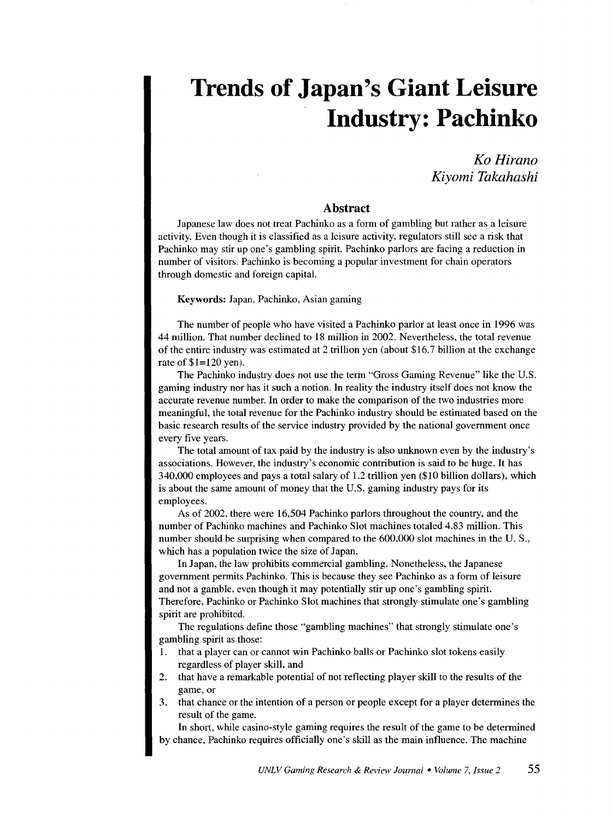## **Trends of Japan's Giant Leisure Industry: Pachinko**

*KoHirano Kiyomi Takahashi* 

## **Abstract**

Japanese law does not treat Pachinko as a form of gambling but rather as a leisure activity. Even though it is classified as a leisure activity, regulators still see a risk that Pachinko may stir up one's gambling spirit. Pachinko parlors are facing a reduction in number of visitors. Pachinko is becoming a popular investment for chain operators through domestic and foreign capital.

Keywords: Japan, Pachinko, Asian gaming

The number of people who have visited a Pachinko parlor at least once in 1996 was 44 million. That number declined to 18 million in 2002. Nevertheless, the total revenue of the entire industry was estimated at 2 trillion yen (about \$16.7 billion at the exchange rate of \$1=120 yen).

The Pachinko industry does not use the term "Gross Gaming Revenue" like the U.S. gaming industry nor has it such a notion. In reality the industry itself does not know the accurate revenue number. In order to make the comparison of the two industries more meaningful, the total revenue for the Pachinko industry should be estimated based on the basic research results of the service industry provided by the national government once every five years.

The total amount of tax paid by the industry is also unknown even by the industry's associations. However, the industry's economic contribution is said to be huge. It has 340,000 employees and pays a total salary of 1.2 trillion yen (\$10 billion dollars), which is about the same amount of money that the U.S. gaming industry pays for its employees.

As of 2002, there were 16,504 Pachinko parlors throughout the country, and the number of Pachinko machines and Pachinko Slot machines totaled 4.83 million. This number should be surprising when compared to the 600,000 slot machines in the U.S., which has a population twice the size of Japan.

In Japan, the law prohibits commercial gambling. Nonetheless, the Japanese government permits Pachinko. This is because they see Pachinko as a form of leisure and not a gamble, even though it may potentially stir up one's gambling spirit. Therefore, Pachinko or Pachinko Slot machines that strongly stimulate one's gambling spirit are prohibited.

The regulations define those "gambling machines" that strongly stimulate one's gambling spirit as those:

- 1. that a player can or cannot win Pachinko balls or Pachinko slot tokens easily regardless of player skill, and
- 2. that have a remarkable potential of not reflecting player skill to the results of the game, or
- 3. that chance or the intention of a person or people except for a player determines the result of the game.

In short, while casino-style gaming requires the result of the game to be determined by chance, Pachinko requires officially one's skill as the main influence. The machine